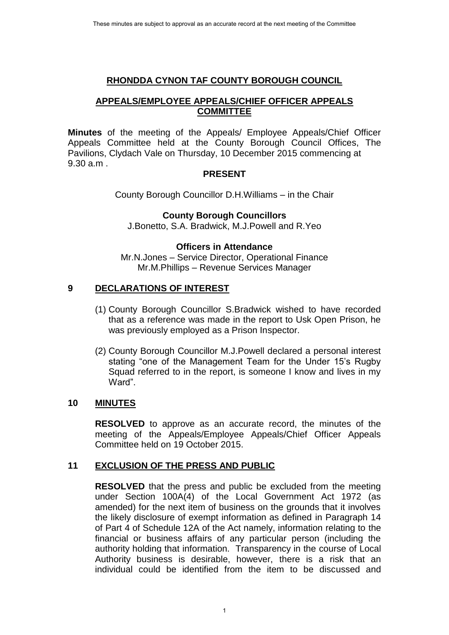## **RHONDDA CYNON TAF COUNTY BOROUGH COUNCIL**

# **APPEALS/EMPLOYEE APPEALS/CHIEF OFFICER APPEALS COMMITTEE**

**Minutes** of the meeting of the Appeals/ Employee Appeals/Chief Officer Appeals Committee held at the County Borough Council Offices, The Pavilions, Clydach Vale on Thursday, 10 December 2015 commencing at 9.30 a.m .

## **PRESENT**

County Borough Councillor D.H.Williams – in the Chair

#### **County Borough Councillors**

J.Bonetto, S.A. Bradwick, M.J.Powell and R.Yeo

## **Officers in Attendance**

Mr.N.Jones – Service Director, Operational Finance Mr.M.Phillips – Revenue Services Manager

# **9 DECLARATIONS OF INTEREST**

- (1) County Borough Councillor S.Bradwick wished to have recorded that as a reference was made in the report to Usk Open Prison, he was previously employed as a Prison Inspector.
- (2) County Borough Councillor M.J.Powell declared a personal interest stating "one of the Management Team for the Under 15's Rugby Squad referred to in the report, is someone I know and lives in my Ward".

#### **10 MINUTES**

**RESOLVED** to approve as an accurate record, the minutes of the meeting of the Appeals/Employee Appeals/Chief Officer Appeals Committee held on 19 October 2015.

# **11 EXCLUSION OF THE PRESS AND PUBLIC**

**RESOLVED** that the press and public be excluded from the meeting under Section 100A(4) of the Local Government Act 1972 (as amended) for the next item of business on the grounds that it involves the likely disclosure of exempt information as defined in Paragraph 14 of Part 4 of Schedule 12A of the Act namely, information relating to the financial or business affairs of any particular person (including the authority holding that information. Transparency in the course of Local Authority business is desirable, however, there is a risk that an individual could be identified from the item to be discussed and These minutes are subject to approval as a scarce margin and a first controlled to approximate to approximate to approximate to approximate the county Borough Council Offices are subject to approve the next meeting of the